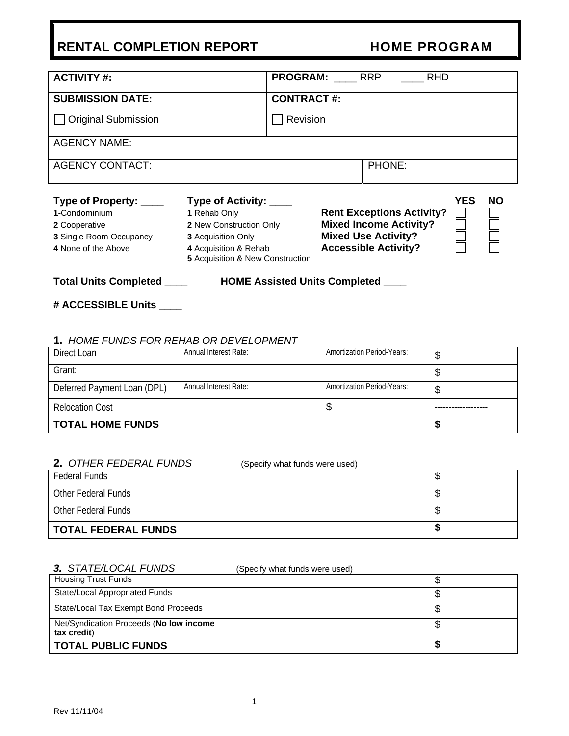| <b>ACTIVITY #:</b>                                                                                                |                                                                                                                                                             | <b>PROGRAM:</b>   | RRP | <b>RHD</b>                                                                                                                     |     |    |
|-------------------------------------------------------------------------------------------------------------------|-------------------------------------------------------------------------------------------------------------------------------------------------------------|-------------------|-----|--------------------------------------------------------------------------------------------------------------------------------|-----|----|
| <b>SUBMISSION DATE:</b>                                                                                           |                                                                                                                                                             | <b>CONTRACT#:</b> |     |                                                                                                                                |     |    |
| <b>Original Submission</b>                                                                                        |                                                                                                                                                             | Revision          |     |                                                                                                                                |     |    |
| <b>AGENCY NAME:</b>                                                                                               |                                                                                                                                                             |                   |     |                                                                                                                                |     |    |
| <b>AGENCY CONTACT:</b>                                                                                            |                                                                                                                                                             |                   |     | PHONE:                                                                                                                         |     |    |
| Type of Property: ____<br>1-Condominium<br>2 Cooperative<br><b>3 Single Room Occupancy</b><br>4 None of the Above | Type of Activity: ____<br>1 Rehab Only<br>2 New Construction Only<br><b>3</b> Acquisition Only<br>4 Acquisition & Rehab<br>5 Acquisition & New Construction |                   |     | <b>Rent Exceptions Activity?</b><br><b>Mixed Income Activity?</b><br><b>Mixed Use Activity?</b><br><b>Accessible Activity?</b> | YES | NΟ |
| <b>Total Units Completed</b><br><b>HOME Assisted Units Completed</b>                                              |                                                                                                                                                             |                   |     |                                                                                                                                |     |    |

## **# ACCESSIBLE Units \_\_\_\_**

#### **1.** *HOME FUNDS FOR REHAB OR DEVELOPMENT*

| Direct Loan                 | <b>Annual Interest Rate:</b> | <b>Amortization Period-Years:</b> | D |
|-----------------------------|------------------------------|-----------------------------------|---|
| Grant:                      |                              |                                   | D |
| Deferred Payment Loan (DPL) | <b>Annual Interest Rate:</b> | <b>Amortization Period-Years:</b> | S |
| <b>Relocation Cost</b>      |                              | Φ                                 |   |
| <b>TOTAL HOME FUNDS</b>     | ъ                            |                                   |   |

#### **2.** *OTHER FEDERAL FUNDS* (Specify what funds were used)

|                            | $\cdots$ |   |
|----------------------------|----------|---|
| <b>Federal Funds</b>       |          | w |
| Other Federal Funds        |          | w |
| Other Federal Funds        |          | w |
| <b>TOTAL FEDERAL FUNDS</b> |          |   |

#### *3. STATE/LOCAL FUNDS* (Specify what funds were used)

| <b>Housing Trust Funds</b>                             |   |    |
|--------------------------------------------------------|---|----|
| State/Local Appropriated Funds                         |   | ۰D |
| State/Local Tax Exempt Bond Proceeds                   |   | J  |
| Net/Syndication Proceeds (No low income<br>tax credit) |   | ۰D |
| TOTAL PUBLIC FUNDS                                     | Ð |    |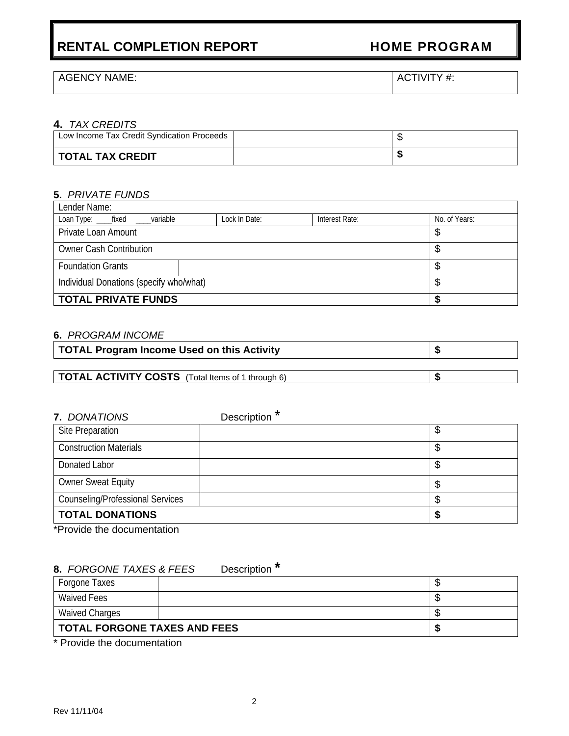## AGENCY NAME:  $\overline{A}$  ACTIVITY #:

#### **4.** *TAX CREDITS*

| Low Income Tax Credit Syndication Proceeds |  |
|--------------------------------------------|--|
| TOTAL TAX CREDIT                           |  |

### **5.** *PRIVATE FUNDS*

| Lender Name:                                  |               |                |               |  |  |  |  |  |
|-----------------------------------------------|---------------|----------------|---------------|--|--|--|--|--|
| Loan Type: _____fixed _____variable           | Lock In Date: | Interest Rate: | No. of Years: |  |  |  |  |  |
| Private Loan Amount                           | \$            |                |               |  |  |  |  |  |
| <b>Owner Cash Contribution</b><br>\$          |               |                |               |  |  |  |  |  |
| <b>Foundation Grants</b>                      | \$            |                |               |  |  |  |  |  |
| Individual Donations (specify who/what)<br>\$ |               |                |               |  |  |  |  |  |
| <b>TOTAL PRIVATE FUNDS</b>                    |               |                |               |  |  |  |  |  |

#### **6.** *PROGRAM INCOME*

| TOTAL Program Income Used on this Activity               |  |
|----------------------------------------------------------|--|
|                                                          |  |
| <b>TOTAL ACTIVITY COSTS</b> (Total Items of 1 through 6) |  |

| 7. DONATIONS                            | Description <sup>*</sup> |    |
|-----------------------------------------|--------------------------|----|
| Site Preparation                        |                          | \$ |
| <b>Construction Materials</b>           |                          | \$ |
| Donated Labor                           |                          | \$ |
| <b>Owner Sweat Equity</b>               |                          | \$ |
| <b>Counseling/Professional Services</b> |                          | \$ |
| <b>TOTAL DONATIONS</b>                  |                          | S  |

\*Provide the documentation

## **8.** *FORGONE TAXES & FEES* Description **\***

| Forgone Taxes                       |  | w    |
|-------------------------------------|--|------|
| <b>Waived Fees</b>                  |  | - 11 |
| <b>Waived Charges</b>               |  |      |
| <b>TOTAL FORGONE TAXES AND FEES</b> |  |      |

\* Provide the documentation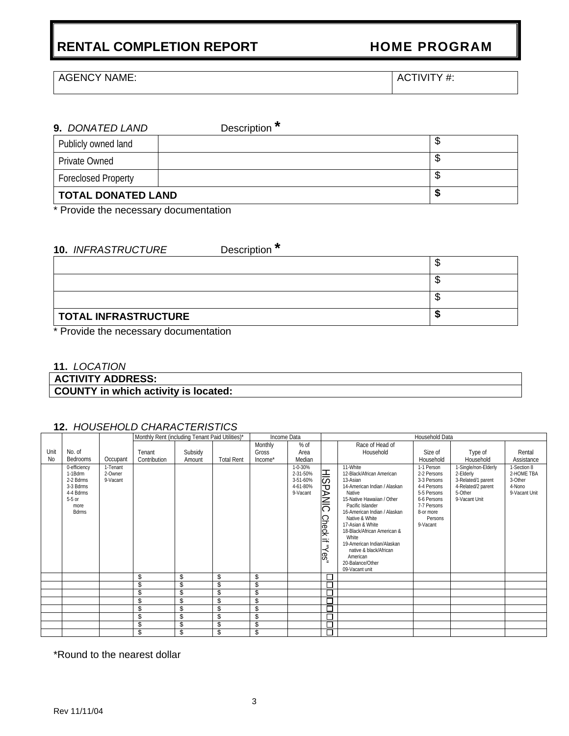AGENCY NAME:  $\vert$  ACTIVITY #:

# **9.** *DONATED LAND*Description **\*** Publicly owned land \$ Private Owned \$ Foreclosed Property **\$ TOTAL DONATED LAND \$**

Provide the necessary documentation

## **10.** *INFRASTRUCTURE*Description **\***

| $\mathbf{r}$ , and $\mathbf{r}$ , and $\mathbf{r}$<br>$\sim$ $\sim$ |  |
|---------------------------------------------------------------------|--|
| <b>TOTAL INFRASTRUCTURE</b>                                         |  |
|                                                                     |  |
|                                                                     |  |
|                                                                     |  |

\* Provide the necessary documentation

#### **11.** *LOCATION*

**ACTIVITY ADDRESS:** 

## **COUNTY in which activity is located:**

#### **12.** *HOUSEHOLD CHARACTERISTICS*

|      |                                                                                                    |                                 | Monthly Rent (including Tenant Paid Utilities)* |         |                   | Income Data |                                                         |                                                                  | Household Data                                                                                                                                                                                                                                                                                                                                                        |                                                                                                                                          |                                                                                                           |                                                                 |
|------|----------------------------------------------------------------------------------------------------|---------------------------------|-------------------------------------------------|---------|-------------------|-------------|---------------------------------------------------------|------------------------------------------------------------------|-----------------------------------------------------------------------------------------------------------------------------------------------------------------------------------------------------------------------------------------------------------------------------------------------------------------------------------------------------------------------|------------------------------------------------------------------------------------------------------------------------------------------|-----------------------------------------------------------------------------------------------------------|-----------------------------------------------------------------|
|      |                                                                                                    |                                 |                                                 |         |                   | Monthly     | $%$ of                                                  |                                                                  | Race of Head of                                                                                                                                                                                                                                                                                                                                                       |                                                                                                                                          |                                                                                                           |                                                                 |
| Unit | No. of                                                                                             |                                 | Tenant                                          | Subsidy |                   | Gross       | Area                                                    |                                                                  | Household                                                                                                                                                                                                                                                                                                                                                             | Size of                                                                                                                                  | Type of                                                                                                   | Rental                                                          |
| No   | Bedrooms                                                                                           | Occupant                        | Contribution                                    | Amount  | <b>Total Rent</b> | Income*     | Median                                                  |                                                                  |                                                                                                                                                                                                                                                                                                                                                                       | Household                                                                                                                                | Household                                                                                                 | Assistance                                                      |
|      | 0-efficiency<br>1-1Bdrm<br>2-2 Bdrms<br>3-3 Bdrms<br>4-4 Bdrms<br>$5-5$ or<br>more<br><b>Bdrms</b> | 1-Tenant<br>2-Owner<br>9-Vacant |                                                 |         |                   |             | 1-0-30%<br>2-31-50%<br>3-51-60%<br>4-61-80%<br>9-Vacant | <b>HISP</b><br>⊳<br>≧<br><b>Check</b><br>$\equiv$<br>"Yes<br>$=$ | 11-White<br>12-Black/African American<br>13-Asian<br>14-American Indian / Alaskan<br>Native<br>15-Native Hawaiian / Other<br>Pacific Islander<br>16-American Indian / Alaskan<br>Native & White<br>17-Asian & White<br>18-Black/African American &<br>White<br>19-American Indian/Alaskan<br>native & black/African<br>American<br>20-Balance/Other<br>09-Vacant unit | 1-1 Person<br>2-2 Persons<br>3-3 Persons<br>4-4 Persons<br>5-5 Persons<br>6-6 Persons<br>7-7 Persons<br>8-or more<br>Persons<br>9-Vacant | 1-Single/non-Elderly<br>2-Elderly<br>3-Related/1 parent<br>4-Related/2 parent<br>5-Other<br>9-Vacant Unit | 1-Section 8<br>2-HOME TBA<br>3-Other<br>4-Nono<br>9-Vacant Unit |
|      |                                                                                                    |                                 | \$                                              | \$      | \$                | \$          |                                                         | ⊏                                                                |                                                                                                                                                                                                                                                                                                                                                                       |                                                                                                                                          |                                                                                                           |                                                                 |
|      |                                                                                                    |                                 | \$                                              | \$      | \$                | \$          |                                                         | 日                                                                |                                                                                                                                                                                                                                                                                                                                                                       |                                                                                                                                          |                                                                                                           |                                                                 |
|      |                                                                                                    |                                 | \$                                              | \$      | \$                | \$          |                                                         | O                                                                |                                                                                                                                                                                                                                                                                                                                                                       |                                                                                                                                          |                                                                                                           |                                                                 |
|      |                                                                                                    |                                 | \$                                              | \$      | \$                | \$          |                                                         | С                                                                |                                                                                                                                                                                                                                                                                                                                                                       |                                                                                                                                          |                                                                                                           |                                                                 |
|      |                                                                                                    |                                 | \$                                              | \$      | \$                | \$          |                                                         | Ē                                                                |                                                                                                                                                                                                                                                                                                                                                                       |                                                                                                                                          |                                                                                                           |                                                                 |
|      |                                                                                                    |                                 | \$                                              | \$      | \$                | \$          |                                                         | 口                                                                |                                                                                                                                                                                                                                                                                                                                                                       |                                                                                                                                          |                                                                                                           |                                                                 |
|      |                                                                                                    |                                 | \$                                              | \$      | \$                | \$          |                                                         | Ē                                                                |                                                                                                                                                                                                                                                                                                                                                                       |                                                                                                                                          |                                                                                                           |                                                                 |
|      |                                                                                                    |                                 | \$                                              | \$      | \$                | \$          |                                                         | Е                                                                |                                                                                                                                                                                                                                                                                                                                                                       |                                                                                                                                          |                                                                                                           |                                                                 |

\*Round to the nearest dollar